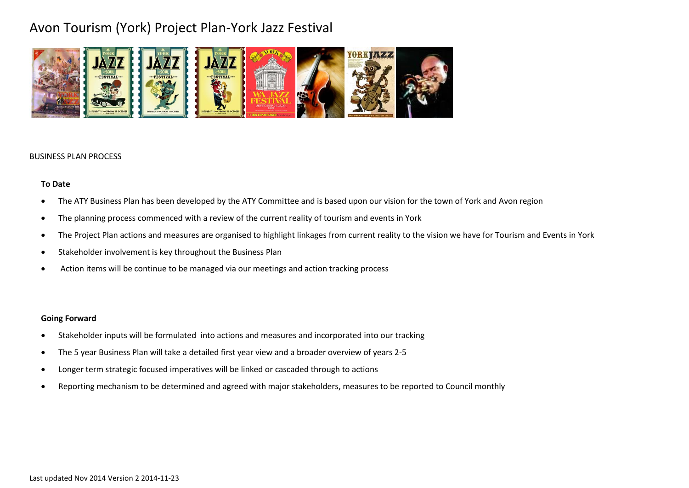

#### BUSINESS PLAN PROCESS

### **To Date**

- The ATY Business Plan has been developed by the ATY Committee and is based upon our vision for the town of York and Avon region
- The planning process commenced with a review of the current reality of tourism and events in York
- The Project Plan actions and measures are organised to highlight linkages from current reality to the vision we have for Tourism and Events in York
- Stakeholder involvement is key throughout the Business Plan
- Action items will be continue to be managed via our meetings and action tracking process

### **Going Forward**

- Stakeholder inputs will be formulated into actions and measures and incorporated into our tracking
- The 5 year Business Plan will take a detailed first year view and a broader overview of years 2-5
- Longer term strategic focused imperatives will be linked or cascaded through to actions
- Reporting mechanism to be determined and agreed with major stakeholders, measures to be reported to Council monthly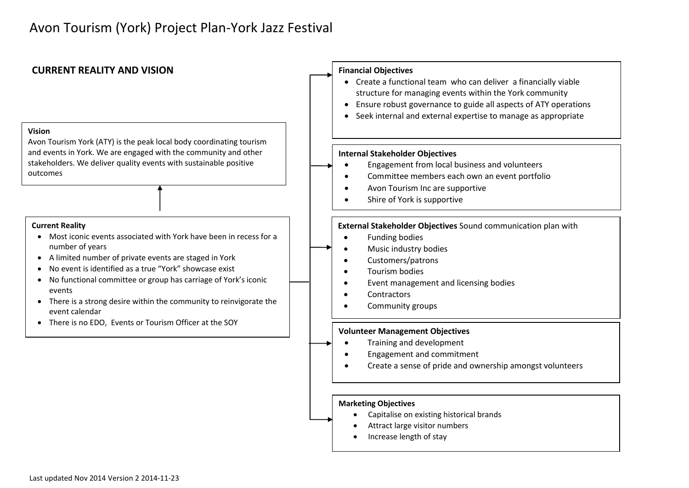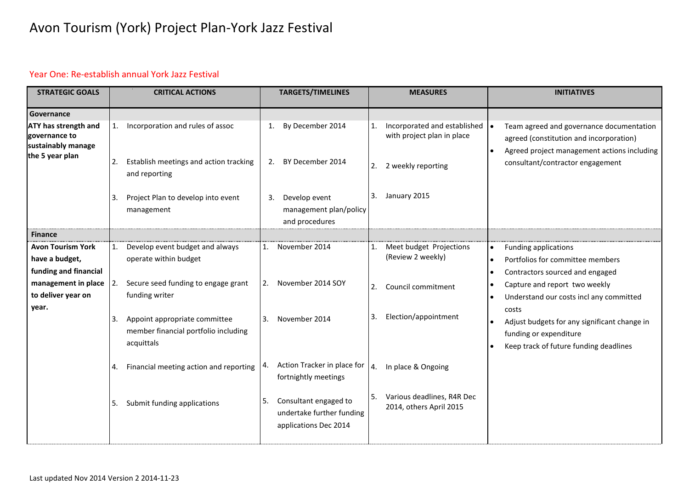### Year One: Re-establish annual York Jazz Festival

| <b>STRATEGIC GOALS</b>                                                                |    | <b>CRITICAL ACTIONS</b>                                                             |    | <b>TARGETS/TIMELINES</b>                                                    |    | <b>MEASURES</b>                                            |           | <b>INITIATIVES</b>                                                                                                                 |
|---------------------------------------------------------------------------------------|----|-------------------------------------------------------------------------------------|----|-----------------------------------------------------------------------------|----|------------------------------------------------------------|-----------|------------------------------------------------------------------------------------------------------------------------------------|
| Governance                                                                            |    |                                                                                     |    |                                                                             |    |                                                            |           |                                                                                                                                    |
| <b>ATY has strength and</b><br>governance to<br>sustainably manage<br>the 5 year plan | 1. | Incorporation and rules of assoc                                                    | 1. | By December 2014                                                            |    | Incorporated and established<br>with project plan in place |           | Team agreed and governance documentation<br>agreed (constitution and incorporation)<br>Agreed project management actions including |
|                                                                                       | 2. | Establish meetings and action tracking<br>and reporting                             | 2. | BY December 2014                                                            | 2. | 2 weekly reporting                                         |           | consultant/contractor engagement                                                                                                   |
|                                                                                       | 3. | Project Plan to develop into event<br>management                                    | 3. | Develop event<br>management plan/policy<br>and procedures                   |    | 3. January 2015                                            |           |                                                                                                                                    |
| <b>Finance</b>                                                                        |    |                                                                                     |    |                                                                             |    |                                                            |           |                                                                                                                                    |
| <b>Avon Tourism York</b>                                                              | 1. | Develop event budget and always                                                     | 1. | November 2014                                                               |    | Meet budget Projections                                    |           | <b>Funding applications</b>                                                                                                        |
| have a budget,                                                                        |    | operate within budget                                                               |    |                                                                             |    | (Review 2 weekly)                                          | $\bullet$ | Portfolios for committee members                                                                                                   |
| funding and financial                                                                 |    |                                                                                     |    |                                                                             |    |                                                            |           | Contractors sourced and engaged                                                                                                    |
| management in place $ 2$ .                                                            |    | Secure seed funding to engage grant                                                 | 2. | November 2014 SOY                                                           | 2. | Council commitment                                         |           | Capture and report two weekly                                                                                                      |
| to deliver year on<br>year.                                                           |    | funding writer                                                                      |    |                                                                             |    |                                                            |           | Understand our costs incl any committed<br>costs                                                                                   |
|                                                                                       | 3. | Appoint appropriate committee<br>member financial portfolio including<br>acquittals | 3. | November 2014                                                               | 3. | Election/appointment                                       |           | Adjust budgets for any significant change in<br>funding or expenditure<br>Keep track of future funding deadlines                   |
|                                                                                       | 4. | Financial meeting action and reporting                                              | 4. | Action Tracker in place for<br>fortnightly meetings                         | 4. | In place & Ongoing                                         |           |                                                                                                                                    |
|                                                                                       | 5. | Submit funding applications                                                         | 5. | Consultant engaged to<br>undertake further funding<br>applications Dec 2014 | 5. | Various deadlines, R4R Dec<br>2014, others April 2015      |           |                                                                                                                                    |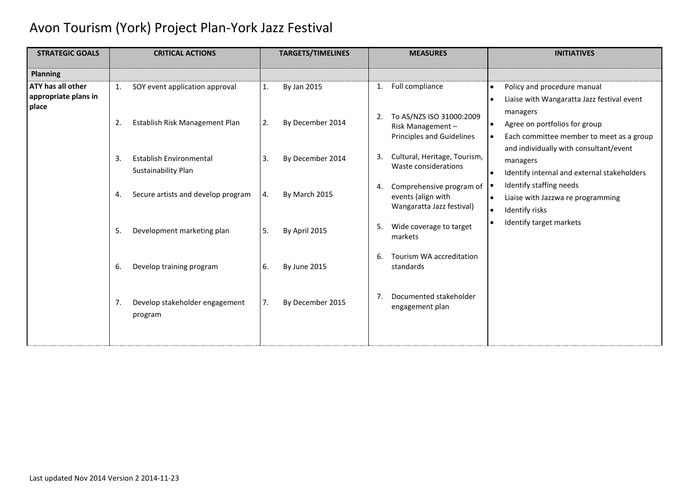| <b>STRATEGIC GOALS</b>                    | <b>CRITICAL ACTIONS</b>                                                                                                                                                                                                                                                                                  | <b>TARGETS/TIMELINES</b>                                                                           | <b>MEASURES</b>                                                                   | <b>INITIATIVES</b>                                                                                  |
|-------------------------------------------|----------------------------------------------------------------------------------------------------------------------------------------------------------------------------------------------------------------------------------------------------------------------------------------------------------|----------------------------------------------------------------------------------------------------|-----------------------------------------------------------------------------------|-----------------------------------------------------------------------------------------------------|
| <b>Planning</b>                           |                                                                                                                                                                                                                                                                                                          |                                                                                                    |                                                                                   |                                                                                                     |
| ATY has all other<br>appropriate plans in | SOY event application approval<br>$\mathbf{1}$ .                                                                                                                                                                                                                                                         | By Jan 2015<br>1.                                                                                  | Full compliance<br>$\mathbf{1}$ .                                                 | Policy and procedure manual<br>$\bullet$<br>Liaise with Wangaratta Jazz festival event<br>$\bullet$ |
| place                                     | To AS/NZS ISO 31000:2009<br>2.<br>2.<br>2.<br>Establish Risk Management Plan<br>By December 2014<br>Risk Management-<br>Principles and Guidelines<br>Cultural, Heritage, Tourism,<br>3.<br><b>Establish Environmental</b><br>By December 2014<br>3.<br>3.<br>Waste considerations<br>Sustainability Plan | managers<br>Agree on portfolios for group<br>$\bullet$<br>Each committee member to meet as a group |                                                                                   |                                                                                                     |
|                                           |                                                                                                                                                                                                                                                                                                          | and individually with consultant/event<br>managers<br>Identify internal and external stakeholders  |                                                                                   |                                                                                                     |
|                                           | Secure artists and develop program<br>4.                                                                                                                                                                                                                                                                 | By March 2015<br>4.                                                                                | Comprehensive program of<br>4.<br>events (align with<br>Wangaratta Jazz festival) | Identify staffing needs<br>Liaise with Jazzwa re programming<br>Identify risks<br>$\bullet$         |
|                                           | 5.<br>Development marketing plan                                                                                                                                                                                                                                                                         | 5.<br>5.<br>By April 2015<br>markets                                                               | Wide coverage to target                                                           | Identify target markets                                                                             |
|                                           | Develop training program<br>6.                                                                                                                                                                                                                                                                           | 6.<br>By June 2015                                                                                 | Tourism WA accreditation<br>6.<br>standards                                       |                                                                                                     |
|                                           | Develop stakeholder engagement<br>7.<br>program                                                                                                                                                                                                                                                          | 7.<br>By December 2015                                                                             | Documented stakeholder<br>7.<br>engagement plan                                   |                                                                                                     |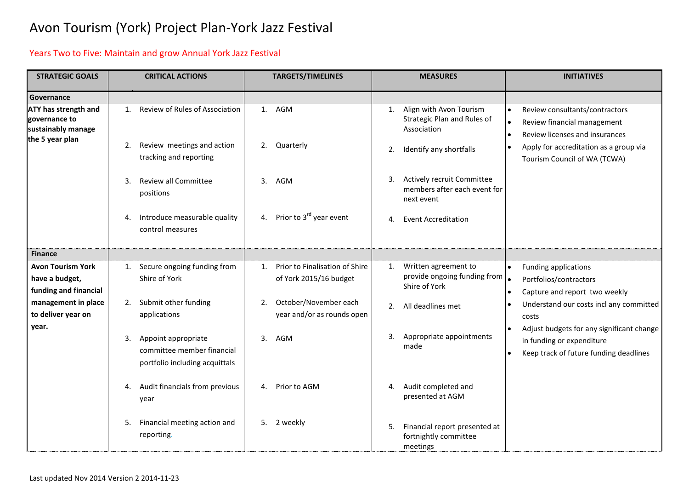### Years Two to Five: Maintain and grow Annual York Jazz Festival

| <b>STRATEGIC GOALS</b>                                                         | <b>CRITICAL ACTIONS</b>                                                                   | <b>TARGETS/TIMELINES</b>                                       | <b>MEASURES</b>                                                                | <b>INITIATIVES</b>                                                                                                            |  |
|--------------------------------------------------------------------------------|-------------------------------------------------------------------------------------------|----------------------------------------------------------------|--------------------------------------------------------------------------------|-------------------------------------------------------------------------------------------------------------------------------|--|
| Governance                                                                     |                                                                                           |                                                                |                                                                                |                                                                                                                               |  |
| ATY has strength and<br>governance to<br>sustainably manage<br>the 5 year plan | Review of Rules of Association<br>1.                                                      | 1. AGM                                                         | Align with Avon Tourism<br>1.<br>Strategic Plan and Rules of<br>Association    | Review consultants/contractors<br>Review financial management<br>$\bullet$<br>Review licenses and insurances<br>$\bullet$     |  |
|                                                                                | Review meetings and action<br>2.<br>tracking and reporting                                | 2. Quarterly                                                   | Identify any shortfalls<br>2.                                                  | Apply for accreditation as a group via<br>$\bullet$<br>Tourism Council of WA (TCWA)                                           |  |
|                                                                                | <b>Review all Committee</b><br>3.<br>positions                                            | 3 <sub>1</sub><br>AGM                                          | Actively recruit Committee<br>3.<br>members after each event for<br>next event |                                                                                                                               |  |
|                                                                                | Introduce measurable quality<br>4.<br>control measures                                    | Prior to 3 <sup>rd</sup> year event<br>4.                      | <b>Event Accreditation</b><br>4.                                               |                                                                                                                               |  |
| <b>Finance</b>                                                                 |                                                                                           |                                                                |                                                                                |                                                                                                                               |  |
| <b>Avon Tourism York</b><br>have a budget,<br>funding and financial            | 1. Secure ongoing funding from<br>Shire of York                                           | Prior to Finalisation of Shire<br>1.<br>of York 2015/16 budget | Written agreement to<br>1.<br>provide ongoing funding from<br>Shire of York    | <b>Funding applications</b><br>Portfolios/contractors<br>Capture and report two weekly                                        |  |
| management in place<br>to deliver year on<br>year.                             | Submit other funding<br>2.<br>applications                                                | October/November each<br>2.<br>year and/or as rounds open      | All deadlines met<br>2.                                                        | Understand our costs incl any committed<br>costs                                                                              |  |
|                                                                                | Appoint appropriate<br>3.<br>committee member financial<br>portfolio including acquittals | AGM<br>3.                                                      | Appropriate appointments<br>3.<br>made                                         | Adjust budgets for any significant change<br>in funding or expenditure<br>Keep track of future funding deadlines<br>$\bullet$ |  |
|                                                                                | Audit financials from previous<br>4.<br>year                                              | Prior to AGM<br>4.                                             | Audit completed and<br>4.<br>presented at AGM                                  |                                                                                                                               |  |
|                                                                                | Financial meeting action and<br>5.<br>reporting.                                          | 5. 2 weekly                                                    | Financial report presented at<br>5.<br>fortnightly committee<br>meetings       |                                                                                                                               |  |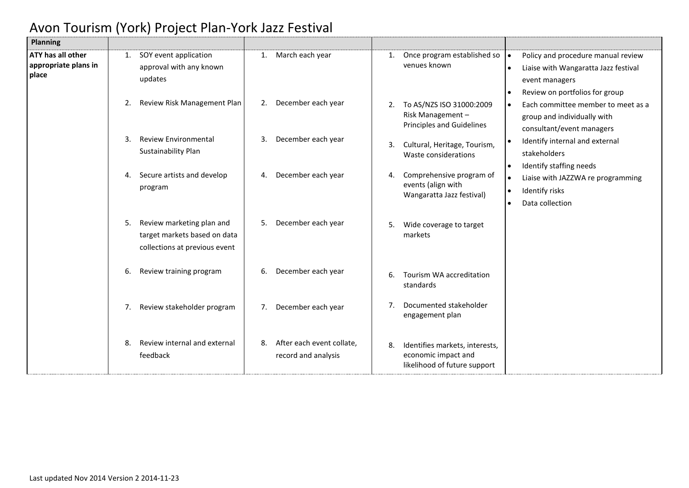| Planning                                                  |    |                                                                                            |    |                                                  |    |                                                                                       |                                                                                                                                                                             |                                                                                                                                |
|-----------------------------------------------------------|----|--------------------------------------------------------------------------------------------|----|--------------------------------------------------|----|---------------------------------------------------------------------------------------|-----------------------------------------------------------------------------------------------------------------------------------------------------------------------------|--------------------------------------------------------------------------------------------------------------------------------|
| <b>ATY has all other</b><br>appropriate plans in<br>place | 1. | SOY event application<br>approval with any known<br>updates                                | 1. | March each year                                  | 1. | Once program established so<br>venues known                                           |                                                                                                                                                                             | Policy and procedure manual review<br>Liaise with Wangaratta Jazz festival<br>event managers<br>Review on portfolios for group |
|                                                           | 2. | Review Risk Management Plan                                                                | 2. | December each year                               | 2. | To AS/NZS ISO 31000:2009<br>Risk Management-<br>Principles and Guidelines             | Each committee member to meet as a<br>group and individually with<br>consultant/event managers<br>Identify internal and external<br>stakeholders<br>Identify staffing needs |                                                                                                                                |
|                                                           | 3. | <b>Review Environmental</b><br>Sustainability Plan                                         | 3. | December each year                               | 3. | Cultural, Heritage, Tourism,<br>Waste considerations                                  |                                                                                                                                                                             |                                                                                                                                |
|                                                           | 4. | Secure artists and develop<br>program                                                      | 4. | December each year                               | 4. | Comprehensive program of<br>events (align with<br>Wangaratta Jazz festival)           | $\bullet$                                                                                                                                                                   | Liaise with JAZZWA re programming<br>Identify risks<br>Data collection                                                         |
|                                                           | 5. | Review marketing plan and<br>target markets based on data<br>collections at previous event | 5. | December each year                               | 5. | Wide coverage to target<br>markets                                                    |                                                                                                                                                                             |                                                                                                                                |
|                                                           | 6. | Review training program                                                                    | 6. | December each year                               | 6. | Tourism WA accreditation<br>standards                                                 |                                                                                                                                                                             |                                                                                                                                |
|                                                           | 7. | Review stakeholder program                                                                 | 7. | December each year                               | 7. | Documented stakeholder<br>engagement plan                                             |                                                                                                                                                                             |                                                                                                                                |
|                                                           | 8. | Review internal and external<br>feedback                                                   | 8. | After each event collate,<br>record and analysis | 8. | Identifies markets, interests,<br>economic impact and<br>likelihood of future support |                                                                                                                                                                             |                                                                                                                                |